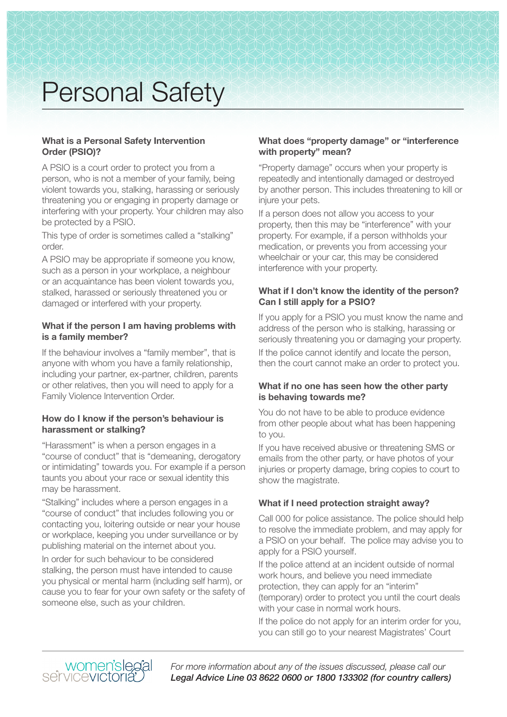#### **What is a Personal Safety Intervention Order (PSIO)?**

A PSIO is a court order to protect you from a person, who is not a member of your family, being violent towards you, stalking, harassing or seriously threatening you or engaging in property damage or interfering with your property. Your children may also be protected by a PSIO.

This type of order is sometimes called a "stalking" order.

A PSIO may be appropriate if someone you know, such as a person in your workplace, a neighbour or an acquaintance has been violent towards you, stalked, harassed or seriously threatened you or damaged or interfered with your property.

### **What if the person I am having problems with is a family member?**

If the behaviour involves a "family member", that is anyone with whom you have a family relationship, including your partner, ex-partner, children, parents or other relatives, then you will need to apply for a Family Violence Intervention Order.

### **How do I know if the person's behaviour is harassment or stalking?**

"Harassment" is when a person engages in a "course of conduct" that is "demeaning, derogatory or intimidating" towards you. For example if a person taunts you about your race or sexual identity this may be harassment.

"Stalking" includes where a person engages in a "course of conduct" that includes following you or contacting you, loitering outside or near your house or workplace, keeping you under surveillance or by publishing material on the internet about you.

In order for such behaviour to be considered stalking, the person must have intended to cause you physical or mental harm (including self harm), or cause you to fear for your own safety or the safety of someone else, such as your children.

### **What does "property damage" or "interference with property" mean?**

"Property damage" occurs when your property is repeatedly and intentionally damaged or destroyed by another person. This includes threatening to kill or injure your pets.

If a person does not allow you access to your property, then this may be "interference" with your property. For example, if a person withholds your medication, or prevents you from accessing your wheelchair or your car, this may be considered interference with your property.

### **What if I don't know the identity of the person? Can I still apply for a PSIO?**

If you apply for a PSIO you must know the name and address of the person who is stalking, harassing or seriously threatening you or damaging your property.

If the police cannot identify and locate the person, then the court cannot make an order to protect you.

### **What if no one has seen how the other party is behaving towards me?**

You do not have to be able to produce evidence from other people about what has been happening to you.

If you have received abusive or threatening SMS or emails from the other party, or have photos of your injuries or property damage, bring copies to court to show the magistrate.

# **What if I need protection straight away?**

Call 000 for police assistance. The police should help to resolve the immediate problem, and may apply for a PSIO on your behalf. The police may advise you to apply for a PSIO yourself.

If the police attend at an incident outside of normal work hours, and believe you need immediate protection, they can apply for an "interim" (temporary) order to protect you until the court deals with your case in normal work hours.

If the police do not apply for an interim order for you, you can still go to your nearest Magistrates' Court

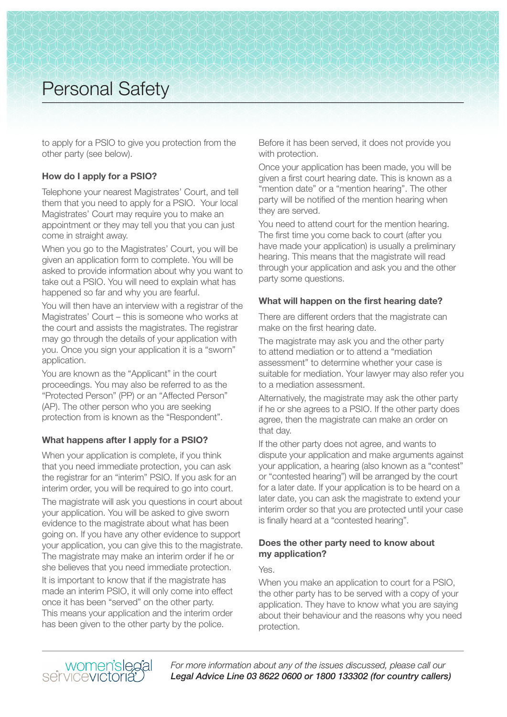to apply for a PSIO to give you protection from the other party (see below).

### **How do I apply for a PSIO?**

Telephone your nearest Magistrates' Court, and tell them that you need to apply for a PSIO. Your local Magistrates' Court may require you to make an appointment or they may tell you that you can just come in straight away.

When you go to the Magistrates' Court, you will be given an application form to complete. You will be asked to provide information about why you want to take out a PSIO. You will need to explain what has happened so far and why you are fearful.

You will then have an interview with a registrar of the Magistrates' Court – this is someone who works at the court and assists the magistrates. The registrar may go through the details of your application with you. Once you sign your application it is a "sworn" application.

You are known as the "Applicant" in the court proceedings. You may also be referred to as the "Protected Person" (PP) or an "Affected Person" (AP). The other person who you are seeking protection from is known as the "Respondent".

### **What happens after I apply for a PSIO?**

When your application is complete, if you think that you need immediate protection, you can ask the registrar for an "interim" PSIO. If you ask for an interim order, you will be required to go into court.

The magistrate will ask you questions in court about your application. You will be asked to give sworn evidence to the magistrate about what has been going on. If you have any other evidence to support your application, you can give this to the magistrate. The magistrate may make an interim order if he or she believes that you need immediate protection. It is important to know that if the magistrate has made an interim PSIO, it will only come into effect once it has been "served" on the other party. This means your application and the interim order has been given to the other party by the police.

Before it has been served, it does not provide you with protection.

Once your application has been made, you will be given a first court hearing date. This is known as a "mention date" or a "mention hearing". The other party will be notified of the mention hearing when they are served.

You need to attend court for the mention hearing. The first time you come back to court (after you have made your application) is usually a preliminary hearing. This means that the magistrate will read through your application and ask you and the other party some questions.

### **What will happen on the first hearing date?**

There are different orders that the magistrate can make on the first hearing date.

The magistrate may ask you and the other party to attend mediation or to attend a "mediation assessment" to determine whether your case is suitable for mediation. Your lawyer may also refer you to a mediation assessment.

Alternatively, the magistrate may ask the other party if he or she agrees to a PSIO. If the other party does agree, then the magistrate can make an order on that day.

If the other party does not agree, and wants to dispute your application and make arguments against your application, a hearing (also known as a "contest" or "contested hearing") will be arranged by the court for a later date. If your application is to be heard on a later date, you can ask the magistrate to extend your interim order so that you are protected until your case is finally heard at a "contested hearing".

### **Does the other party need to know about my application?**

Yes.

When you make an application to court for a PSIO, the other party has to be served with a copy of your application. They have to know what you are saying about their behaviour and the reasons why you need protection.

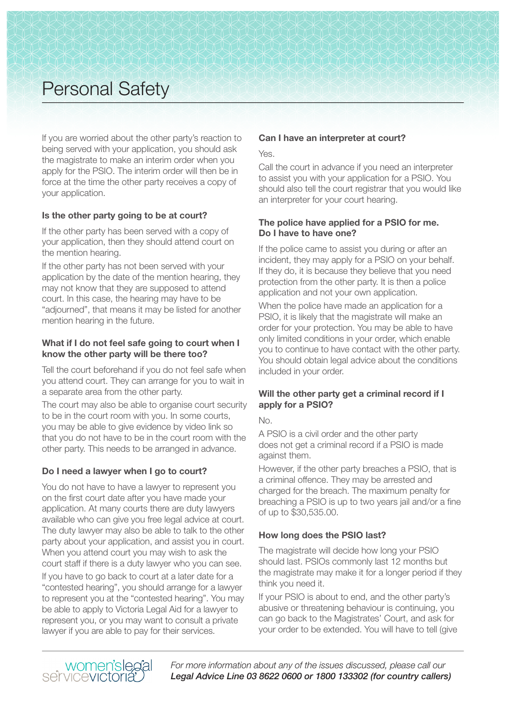If you are worried about the other party's reaction to being served with your application, you should ask the magistrate to make an interim order when you apply for the PSIO. The interim order will then be in force at the time the other party receives a copy of your application.

### **Is the other party going to be at court?**

If the other party has been served with a copy of your application, then they should attend court on the mention hearing.

If the other party has not been served with your application by the date of the mention hearing, they may not know that they are supposed to attend court. In this case, the hearing may have to be "adjourned", that means it may be listed for another mention hearing in the future.

### **What if I do not feel safe going to court when I know the other party will be there too?**

Tell the court beforehand if you do not feel safe when you attend court. They can arrange for you to wait in a separate area from the other party.

The court may also be able to organise court security to be in the court room with you. In some courts, you may be able to give evidence by video link so that you do not have to be in the court room with the other party. This needs to be arranged in advance.

# **Do I need a lawyer when I go to court?**

You do not have to have a lawyer to represent you on the first court date after you have made your application. At many courts there are duty lawyers available who can give you free legal advice at court. The duty lawyer may also be able to talk to the other party about your application, and assist you in court. When you attend court you may wish to ask the court staff if there is a duty lawyer who you can see.

If you have to go back to court at a later date for a "contested hearing", you should arrange for a lawyer to represent you at the "contested hearing". You may be able to apply to Victoria Legal Aid for a lawyer to represent you, or you may want to consult a private lawyer if you are able to pay for their services.

### **Can I have an interpreter at court?**

Yes.

Call the court in advance if you need an interpreter to assist you with your application for a PSIO. You should also tell the court registrar that you would like an interpreter for your court hearing.

### **The police have applied for a PSIO for me. Do I have to have one?**

If the police came to assist you during or after an incident, they may apply for a PSIO on your behalf. If they do, it is because they believe that you need protection from the other party. It is then a police application and not your own application.

When the police have made an application for a PSIO, it is likely that the magistrate will make an order for your protection. You may be able to have only limited conditions in your order, which enable you to continue to have contact with the other party. You should obtain legal advice about the conditions included in your order.

### **Will the other party get a criminal record if I apply for a PSIO?**

No.

A PSIO is a civil order and the other party does not get a criminal record if a PSIO is made against them.

However, if the other party breaches a PSIO, that is a criminal offence. They may be arrested and charged for the breach. The maximum penalty for breaching a PSIO is up to two years jail and/or a fine of up to \$30,535.00.

### **How long does the PSIO last?**

The magistrate will decide how long your PSIO should last. PSIOs commonly last 12 months but the magistrate may make it for a longer period if they think you need it.

If your PSIO is about to end, and the other party's abusive or threatening behaviour is continuing, you can go back to the Magistrates' Court, and ask for your order to be extended. You will have to tell (give